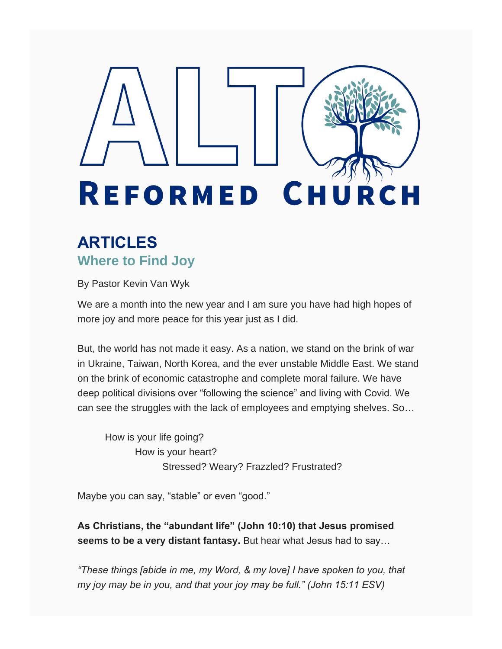# **REFORMED CH** C H

## **ARTICLES Where to Find Joy**

By Pastor Kevin Van Wyk

We are a month into the new year and I am sure you have had high hopes of more joy and more peace for this year just as I did.

But, the world has not made it easy. As a nation, we stand on the brink of war in Ukraine, Taiwan, North Korea, and the ever unstable Middle East. We stand on the brink of economic catastrophe and complete moral failure. We have deep political divisions over "following the science" and living with Covid. We can see the struggles with the lack of employees and emptying shelves. So…

 How is your life going? How is your heart? Stressed? Weary? Frazzled? Frustrated?

Maybe you can say, "stable" or even "good."

**As Christians, the "abundant life" (John 10:10) that Jesus promised seems to be a very distant fantasy.** But hear what Jesus had to say…

*"These things [abide in me, my Word, & my love] I have spoken to you, that my joy may be in you, and that your joy may be full." (John 15:11 ESV)*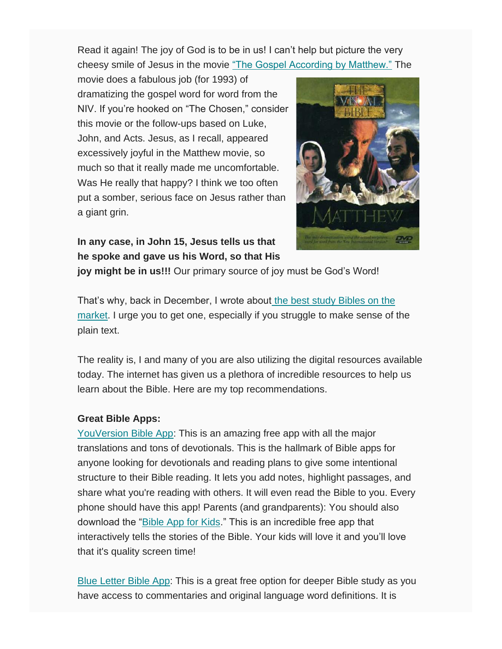Read it again! The joy of God is to be in us! I can't help but picture the very cheesy smile of Jesus in the movie ["The Gospel According by Matthew."](https://na01.safelinks.protection.outlook.com/?url=http%3A%2F%2Fwww.youtube.com%2Fwatch%3Fv%3DwoAhReBytBk&data=04%7C01%7C%7C7892bb09bc5d41d5f66508d9e6ba0083%7C84df9e7fe9f640afb435aaaaaaaaaaaa%7C1%7C0%7C637794508820500204%7CUnknown%7CTWFpbGZsb3d8eyJWIjoiMC4wLjAwMDAiLCJQIjoiV2luMzIiLCJBTiI6Ik1haWwiLCJXVCI6Mn0%3D%7C3000&sdata=4ck0nnGiZU4RwGq68FJABDIsL53d1FhWA9d73DOCnis%3D&reserved=0) The

movie does a fabulous job (for 1993) of dramatizing the gospel word for word from the NIV. If you're hooked on "The Chosen," consider this movie or the follow-ups based on Luke, John, and Acts. Jesus, as I recall, appeared excessively joyful in the Matthew movie, so much so that it really made me uncomfortable. Was He really that happy? I think we too often put a somber, serious face on Jesus rather than a giant grin.



**In any case, in John 15, Jesus tells us that he spoke and gave us his Word, so that His** 

**joy might be in us!!!** Our primary source of joy must be God's Word!

That's why, back in December, I wrote about [the best study Bibles on the](https://na01.safelinks.protection.outlook.com/?url=https%3A%2F%2Fwww.altoreformedchurch.org%2Fblog%2Farchives%2F12-2021&data=04%7C01%7C%7C7892bb09bc5d41d5f66508d9e6ba0083%7C84df9e7fe9f640afb435aaaaaaaaaaaa%7C1%7C0%7C637794508820500204%7CUnknown%7CTWFpbGZsb3d8eyJWIjoiMC4wLjAwMDAiLCJQIjoiV2luMzIiLCJBTiI6Ik1haWwiLCJXVCI6Mn0%3D%7C3000&sdata=RLQhzu3zP5WFHIJ2Ufn%2BTw7%2BCi1g5RT1JLWpc8fVX9U%3D&reserved=0)  [market.](https://na01.safelinks.protection.outlook.com/?url=https%3A%2F%2Fwww.altoreformedchurch.org%2Fblog%2Farchives%2F12-2021&data=04%7C01%7C%7C7892bb09bc5d41d5f66508d9e6ba0083%7C84df9e7fe9f640afb435aaaaaaaaaaaa%7C1%7C0%7C637794508820500204%7CUnknown%7CTWFpbGZsb3d8eyJWIjoiMC4wLjAwMDAiLCJQIjoiV2luMzIiLCJBTiI6Ik1haWwiLCJXVCI6Mn0%3D%7C3000&sdata=RLQhzu3zP5WFHIJ2Ufn%2BTw7%2BCi1g5RT1JLWpc8fVX9U%3D&reserved=0) I urge you to get one, especially if you struggle to make sense of the plain text.

The reality is, I and many of you are also utilizing the digital resources available today. The internet has given us a plethora of incredible resources to help us learn about the Bible. Here are my top recommendations.

### **Great Bible Apps:**

[YouVersion Bible App:](https://na01.safelinks.protection.outlook.com/?url=https%3A%2F%2Fmy.bible.com%2F&data=04%7C01%7C%7C7892bb09bc5d41d5f66508d9e6ba0083%7C84df9e7fe9f640afb435aaaaaaaaaaaa%7C1%7C0%7C637794508820500204%7CUnknown%7CTWFpbGZsb3d8eyJWIjoiMC4wLjAwMDAiLCJQIjoiV2luMzIiLCJBTiI6Ik1haWwiLCJXVCI6Mn0%3D%7C3000&sdata=%2FludWRXm0yZfER8GDw3f98OAJ54S0kBuPNksxxN8hOs%3D&reserved=0) This is an amazing free app with all the major translations and tons of devotionals. This is the hallmark of Bible apps for anyone looking for devotionals and reading plans to give some intentional structure to their Bible reading. It lets you add notes, highlight passages, and share what you're reading with others. It will even read the Bible to you. Every phone should have this app! Parents (and grandparents): You should also download the ["Bible App for Kids.](https://na01.safelinks.protection.outlook.com/?url=https%3A%2F%2Fbibleappforkids.com%2F&data=04%7C01%7C%7C7892bb09bc5d41d5f66508d9e6ba0083%7C84df9e7fe9f640afb435aaaaaaaaaaaa%7C1%7C0%7C637794508820500204%7CUnknown%7CTWFpbGZsb3d8eyJWIjoiMC4wLjAwMDAiLCJQIjoiV2luMzIiLCJBTiI6Ik1haWwiLCJXVCI6Mn0%3D%7C3000&sdata=fURm%2BMQkc%2B1ky7AkkTihyDUzpnoGxHKPXeIcpmKu5WY%3D&reserved=0)" This is an incredible free app that interactively tells the stories of the Bible. Your kids will love it and you'll love that it's quality screen time!

[Blue Letter Bible App:](https://na01.safelinks.protection.outlook.com/?url=http%3A%2F%2Fwww.blueletterbible.org%2F&data=04%7C01%7C%7C7892bb09bc5d41d5f66508d9e6ba0083%7C84df9e7fe9f640afb435aaaaaaaaaaaa%7C1%7C0%7C637794508820500204%7CUnknown%7CTWFpbGZsb3d8eyJWIjoiMC4wLjAwMDAiLCJQIjoiV2luMzIiLCJBTiI6Ik1haWwiLCJXVCI6Mn0%3D%7C3000&sdata=%2Fa51M73B6i4IBhvxeBiQFtB7qIpEW7bM1s16jeygicM%3D&reserved=0) This is a great free option for deeper Bible study as you have access to commentaries and original language word definitions. It is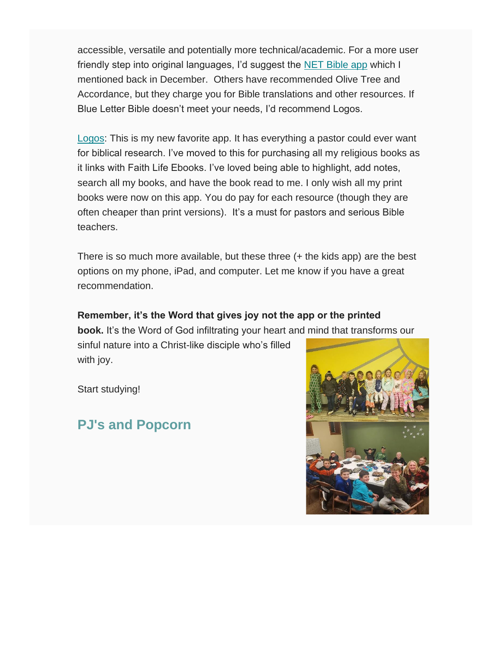accessible, versatile and potentially more technical/academic. For a more user friendly step into original languages, I'd suggest the [NET Bible app](https://na01.safelinks.protection.outlook.com/?url=https%3A%2F%2Fnetbible.org%2F&data=04%7C01%7C%7C7892bb09bc5d41d5f66508d9e6ba0083%7C84df9e7fe9f640afb435aaaaaaaaaaaa%7C1%7C0%7C637794508820500204%7CUnknown%7CTWFpbGZsb3d8eyJWIjoiMC4wLjAwMDAiLCJQIjoiV2luMzIiLCJBTiI6Ik1haWwiLCJXVCI6Mn0%3D%7C3000&sdata=Ha7NtF6MdpH%2Bv6us4g5UfsevX8VXQV5VJSXXQBPgki4%3D&reserved=0) which I mentioned back in December. Others have recommended Olive Tree and Accordance, but they charge you for Bible translations and other resources. If Blue Letter Bible doesn't meet your needs, I'd recommend Logos.

[Logos:](https://na01.safelinks.protection.outlook.com/?url=http%3A%2F%2Fwww.logos.com%2F&data=04%7C01%7C%7C7892bb09bc5d41d5f66508d9e6ba0083%7C84df9e7fe9f640afb435aaaaaaaaaaaa%7C1%7C0%7C637794508820500204%7CUnknown%7CTWFpbGZsb3d8eyJWIjoiMC4wLjAwMDAiLCJQIjoiV2luMzIiLCJBTiI6Ik1haWwiLCJXVCI6Mn0%3D%7C3000&sdata=bUJFmtdk3aulBP3slL%2BvZy%2Bw11a1Ix450IzvgTvGfyM%3D&reserved=0) This is my new favorite app. It has everything a pastor could ever want for biblical research. I've moved to this for purchasing all my religious books as it links with Faith Life Ebooks. I've loved being able to highlight, add notes, search all my books, and have the book read to me. I only wish all my print books were now on this app. You do pay for each resource (though they are often cheaper than print versions). It's a must for pastors and serious Bible teachers.

There is so much more available, but these three (+ the kids app) are the best options on my phone, iPad, and computer. Let me know if you have a great recommendation.

## **Remember, it's the Word that gives joy not the app or the printed**

**book.** It's the Word of God infiltrating your heart and mind that transforms our

sinful nature into a Christ-like disciple who's filled with joy.

Start studying!

## **PJ's and Popcorn**

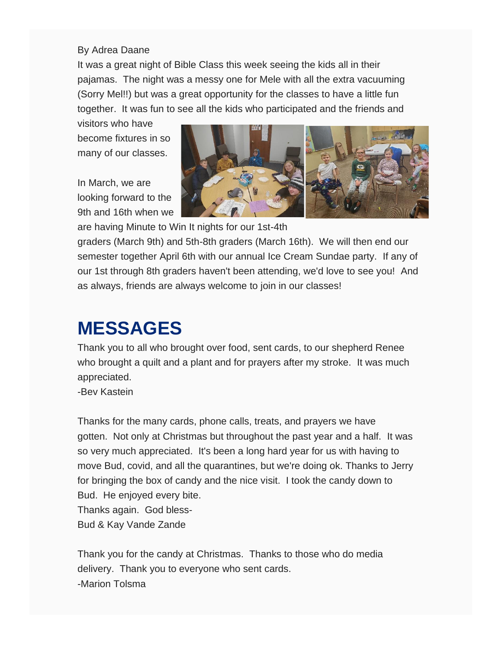#### By Adrea Daane

It was a great night of Bible Class this week seeing the kids all in their pajamas. The night was a messy one for Mele with all the extra vacuuming (Sorry Mel!!) but was a great opportunity for the classes to have a little fun together. It was fun to see all the kids who participated and the friends and

visitors who have become fixtures in so many of our classes.

In March, we are looking forward to the 9th and 16th when we



are having Minute to Win It nights for our 1st-4th

graders (March 9th) and 5th-8th graders (March 16th). We will then end our semester together April 6th with our annual Ice Cream Sundae party. If any of our 1st through 8th graders haven't been attending, we'd love to see you! And as always, friends are always welcome to join in our classes!

# **MESSAGES**

Thank you to all who brought over food, sent cards, to our shepherd Renee who brought a quilt and a plant and for prayers after my stroke. It was much appreciated.

-Bev Kastein

Thanks for the many cards, phone calls, treats, and prayers we have gotten. Not only at Christmas but throughout the past year and a half. It was so very much appreciated. It's been a long hard year for us with having to move Bud, covid, and all the quarantines, but we're doing ok. Thanks to Jerry for bringing the box of candy and the nice visit. I took the candy down to Bud. He enjoyed every bite. Thanks again. God bless-Bud & Kay Vande Zande

Thank you for the candy at Christmas. Thanks to those who do media delivery. Thank you to everyone who sent cards. -Marion Tolsma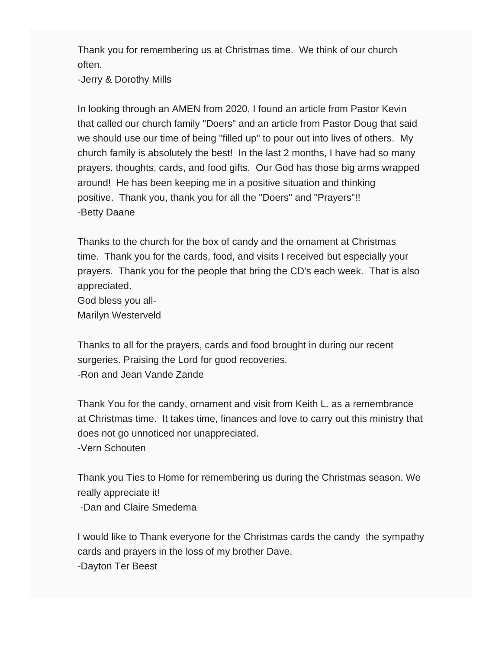Thank you for remembering us at Christmas time. We think of our church often.

-Jerry & Dorothy Mills

In looking through an AMEN from 2020, I found an article from Pastor Kevin that called our church family "Doers" and an article from Pastor Doug that said we should use our time of being "filled up" to pour out into lives of others. My church family is absolutely the best! In the last 2 months, I have had so many prayers, thoughts, cards, and food gifts. Our God has those big arms wrapped around! He has been keeping me in a positive situation and thinking positive. Thank you, thank you for all the "Doers" and "Prayers"!! -Betty Daane

Thanks to the church for the box of candy and the ornament at Christmas time. Thank you for the cards, food, and visits I received but especially your prayers. Thank you for the people that bring the CD's each week. That is also appreciated. God bless you all-

Marilyn Westerveld

Thanks to all for the prayers, cards and food brought in during our recent surgeries. Praising the Lord for good recoveries. -Ron and Jean Vande Zande

Thank You for the candy, ornament and visit from Keith L. as a remembrance at Christmas time. It takes time, finances and love to carry out this ministry that does not go unnoticed nor unappreciated. -Vern Schouten

Thank you Ties to Home for remembering us during the Christmas season. We really appreciate it!

-Dan and Claire Smedema

I would like to Thank everyone for the Christmas cards the candy the sympathy cards and prayers in the loss of my brother Dave. -Dayton Ter Beest